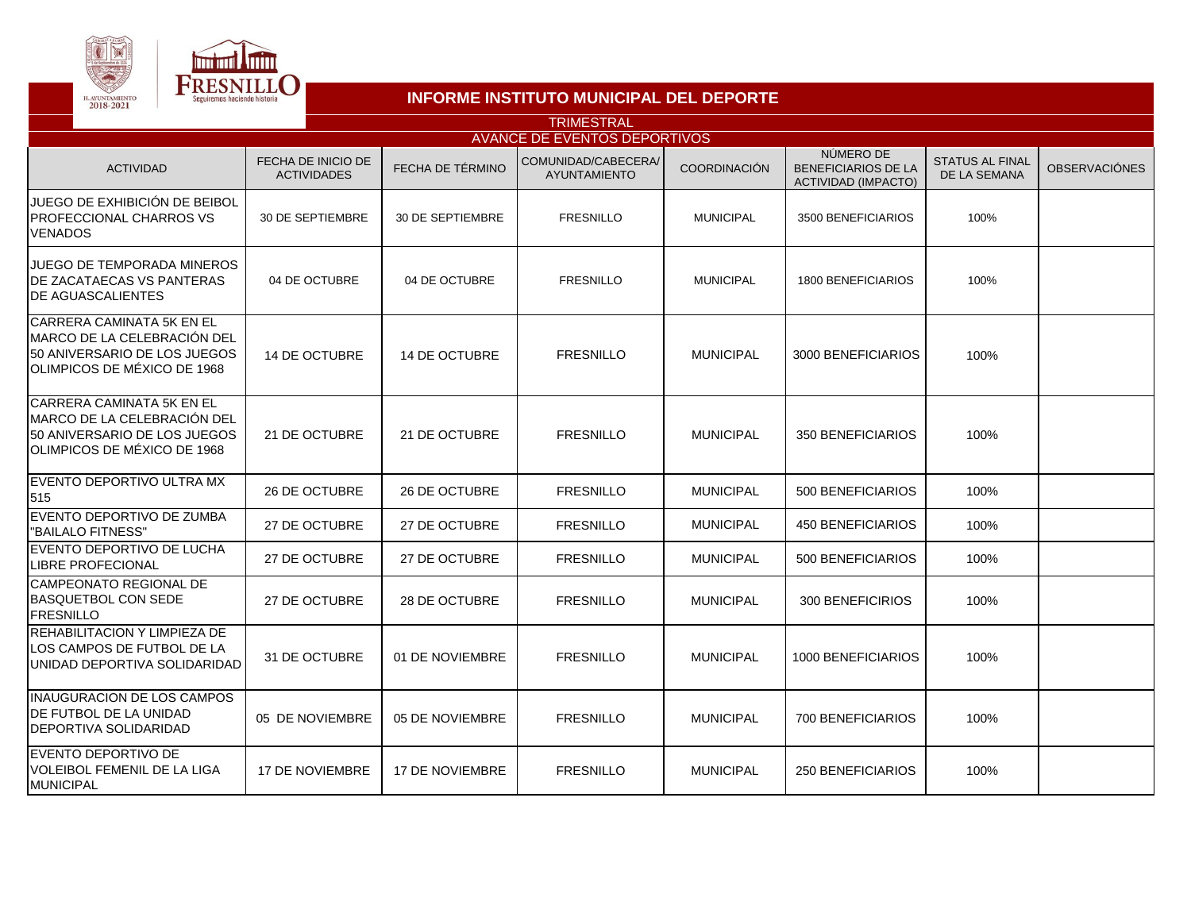



## **INFORME INSTITUTO MUNICIPAL DEL DEPORTE**

| <b>TRIMESTRAL</b>                                                                                                               |                                          |                        |                                            |                  |                                                                       |                                               |                      |  |  |  |  |
|---------------------------------------------------------------------------------------------------------------------------------|------------------------------------------|------------------------|--------------------------------------------|------------------|-----------------------------------------------------------------------|-----------------------------------------------|----------------------|--|--|--|--|
| <b>AVANCE DE EVENTOS DEPORTIVOS</b>                                                                                             |                                          |                        |                                            |                  |                                                                       |                                               |                      |  |  |  |  |
| <b>ACTIVIDAD</b>                                                                                                                | FECHA DE INICIO DE<br><b>ACTIVIDADES</b> | FECHA DE TÉRMINO       | COMUNIDAD/CABECERA/<br><b>AYUNTAMIENTO</b> | COORDINACIÓN     | NÚMERO DE<br><b>BENEFICIARIOS DE LA</b><br><b>ACTIVIDAD (IMPACTO)</b> | <b>STATUS AL FINAL</b><br><b>DE LA SEMANA</b> | <b>OBSERVACIÓNES</b> |  |  |  |  |
| JUEGO DE EXHIBICIÓN DE BEIBOL<br><b>PROFECCIONAL CHARROS VS</b><br><b>VENADOS</b>                                               | 30 DE SEPTIEMBRE                         | 30 DE SEPTIEMBRE       | <b>FRESNILLO</b>                           | <b>MUNICIPAL</b> | 3500 BENEFICIARIOS                                                    | 100%                                          |                      |  |  |  |  |
| <b>JUEGO DE TEMPORADA MINEROS</b><br>DE ZACATAECAS VS PANTERAS<br><b>DE AGUASCALIENTES</b>                                      | 04 DE OCTUBRE                            | 04 DE OCTUBRE          | <b>FRESNILLO</b>                           | <b>MUNICIPAL</b> | 1800 BENEFICIARIOS                                                    | 100%                                          |                      |  |  |  |  |
| CARRERA CAMINATA 5K EN EL<br>MARCO DE LA CELEBRACIÓN DEL<br>50 ANIVERSARIO DE LOS JUEGOS<br>OLIMPICOS DE MÉXICO DE 1968         | 14 DE OCTUBRE                            | <b>14 DE OCTUBRE</b>   | <b>FRESNILLO</b>                           | <b>MUNICIPAL</b> | 3000 BENEFICIARIOS                                                    | 100%                                          |                      |  |  |  |  |
| <b>CARRERA CAMINATA 5K EN EL</b><br>MARCO DE LA CELEBRACIÓN DEL<br>50 ANIVERSARIO DE LOS JUEGOS<br>IOLIMPICOS DE MÉXICO DE 1968 | 21 DE OCTUBRE                            | 21 DE OCTUBRE          | <b>FRESNILLO</b>                           | <b>MUNICIPAL</b> | 350 BENEFICIARIOS                                                     | 100%                                          |                      |  |  |  |  |
| IEVENTO DEPORTIVO ULTRA MX<br>515                                                                                               | 26 DE OCTUBRE                            | 26 DE OCTUBRE          | <b>FRESNILLO</b>                           | <b>MUNICIPAL</b> | 500 BENEFICIARIOS                                                     | 100%                                          |                      |  |  |  |  |
| EVENTO DEPORTIVO DE ZUMBA<br>"BAILALO FITNESS"                                                                                  | 27 DE OCTUBRE                            | 27 DE OCTUBRE          | <b>FRESNILLO</b>                           | <b>MUNICIPAL</b> | 450 BENEFICIARIOS                                                     | 100%                                          |                      |  |  |  |  |
| <b>IEVENTO DEPORTIVO DE LUCHA</b><br><b>LIBRE PROFECIONAL</b>                                                                   | 27 DE OCTUBRE                            | 27 DE OCTUBRE          | <b>FRESNILLO</b>                           | <b>MUNICIPAL</b> | 500 BENEFICIARIOS                                                     | 100%                                          |                      |  |  |  |  |
| CAMPEONATO REGIONAL DE<br><b>BASQUETBOL CON SEDE</b><br><b>FRESNILLO</b>                                                        | 27 DE OCTUBRE                            | 28 DE OCTUBRE          | <b>FRESNILLO</b>                           | <b>MUNICIPAL</b> | 300 BENEFICIRIOS                                                      | 100%                                          |                      |  |  |  |  |
| REHABILITACION Y LIMPIEZA DE<br>LOS CAMPOS DE FUTBOL DE LA<br>UNIDAD DEPORTIVA SOLIDARIDAD                                      | 31 DE OCTUBRE                            | 01 DE NOVIEMBRE        | <b>FRESNILLO</b>                           | <b>MUNICIPAL</b> | 1000 BENEFICIARIOS                                                    | 100%                                          |                      |  |  |  |  |
| <b>INAUGURACION DE LOS CAMPOS</b><br><b>IDE FUTBOL DE LA UNIDAD</b><br>DEPORTIVA SOLIDARIDAD                                    | 05 DE NOVIEMBRE                          | 05 DE NOVIEMBRE        | <b>FRESNILLO</b>                           | <b>MUNICIPAL</b> | 700 BENEFICIARIOS                                                     | 100%                                          |                      |  |  |  |  |
| EVENTO DEPORTIVO DE<br><b>VOLEIBOL FEMENIL DE LA LIGA</b><br><b>MUNICIPAL</b>                                                   | <b>17 DE NOVIEMBRE</b>                   | <b>17 DE NOVIEMBRE</b> | <b>FRESNILLO</b>                           | <b>MUNICIPAL</b> | <b>250 BENEFICIARIOS</b>                                              | 100%                                          |                      |  |  |  |  |